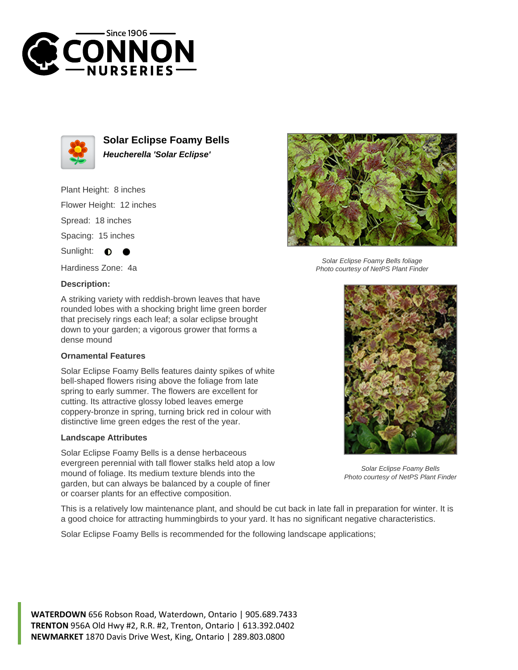



**Solar Eclipse Foamy Bells Heucherella 'Solar Eclipse'**

Plant Height: 8 inches

Flower Height: 12 inches

Spread: 18 inches

Spacing: 15 inches

Sunlight:  $\bullet$ 

Hardiness Zone: 4a

## **Description:**

A striking variety with reddish-brown leaves that have rounded lobes with a shocking bright lime green border that precisely rings each leaf; a solar eclipse brought down to your garden; a vigorous grower that forms a dense mound

## **Ornamental Features**

Solar Eclipse Foamy Bells features dainty spikes of white bell-shaped flowers rising above the foliage from late spring to early summer. The flowers are excellent for cutting. Its attractive glossy lobed leaves emerge coppery-bronze in spring, turning brick red in colour with distinctive lime green edges the rest of the year.

## **Landscape Attributes**

Solar Eclipse Foamy Bells is a dense herbaceous evergreen perennial with tall flower stalks held atop a low mound of foliage. Its medium texture blends into the garden, but can always be balanced by a couple of finer or coarser plants for an effective composition.



Solar Eclipse Foamy Bells foliage Photo courtesy of NetPS Plant Finder



Solar Eclipse Foamy Bells Photo courtesy of NetPS Plant Finder

This is a relatively low maintenance plant, and should be cut back in late fall in preparation for winter. It is a good choice for attracting hummingbirds to your yard. It has no significant negative characteristics.

Solar Eclipse Foamy Bells is recommended for the following landscape applications;

**WATERDOWN** 656 Robson Road, Waterdown, Ontario | 905.689.7433 **TRENTON** 956A Old Hwy #2, R.R. #2, Trenton, Ontario | 613.392.0402 **NEWMARKET** 1870 Davis Drive West, King, Ontario | 289.803.0800